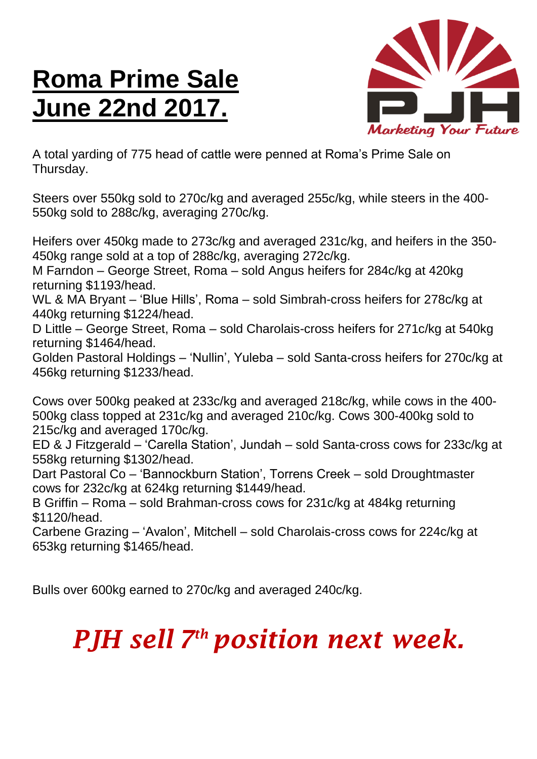## **Roma Prime Sale June 22nd 2017.**



A total yarding of 775 head of cattle were penned at Roma's Prime Sale on Thursday.

Steers over 550kg sold to 270c/kg and averaged 255c/kg, while steers in the 400- 550kg sold to 288c/kg, averaging 270c/kg.

Heifers over 450kg made to 273c/kg and averaged 231c/kg, and heifers in the 350- 450kg range sold at a top of 288c/kg, averaging 272c/kg.

M Farndon – George Street, Roma – sold Angus heifers for 284c/kg at 420kg returning \$1193/head.

WL & MA Bryant – 'Blue Hills', Roma – sold Simbrah-cross heifers for 278c/kg at 440kg returning \$1224/head.

D Little – George Street, Roma – sold Charolais-cross heifers for 271c/kg at 540kg returning \$1464/head.

Golden Pastoral Holdings – 'Nullin', Yuleba – sold Santa-cross heifers for 270c/kg at 456kg returning \$1233/head.

Cows over 500kg peaked at 233c/kg and averaged 218c/kg, while cows in the 400- 500kg class topped at 231c/kg and averaged 210c/kg. Cows 300-400kg sold to 215c/kg and averaged 170c/kg.

ED & J Fitzgerald – 'Carella Station', Jundah – sold Santa-cross cows for 233c/kg at 558kg returning \$1302/head.

Dart Pastoral Co – 'Bannockburn Station', Torrens Creek – sold Droughtmaster cows for 232c/kg at 624kg returning \$1449/head.

B Griffin – Roma – sold Brahman-cross cows for 231c/kg at 484kg returning \$1120/head.

Carbene Grazing – 'Avalon', Mitchell – sold Charolais-cross cows for 224c/kg at 653kg returning \$1465/head.

Bulls over 600kg earned to 270c/kg and averaged 240c/kg.

## *PJH sell 7 th position next week.*